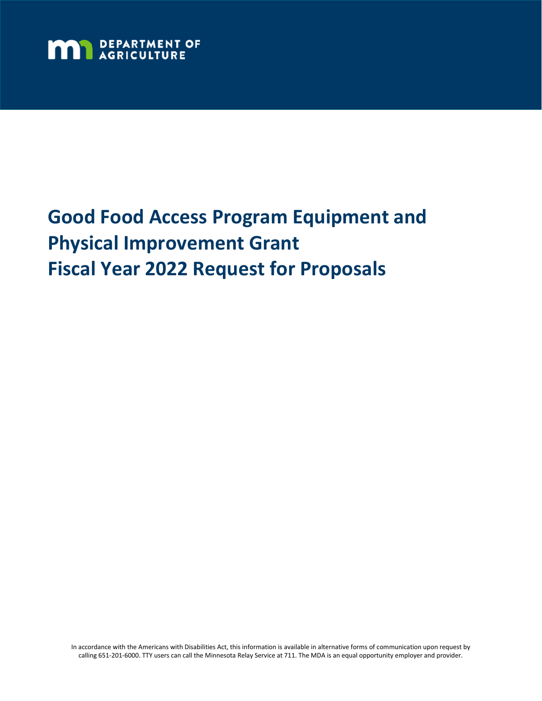

# **Good Food Access Program Equipment and Physical Improvement Grant Fiscal Year 2022 Request for Proposals**

In accordance with the Americans with Disabilities Act, this information is available in alternative forms of communication upon request by calling 651-201-6000. TTY users can call the Minnesota Relay Service at 711. The MDA is an equal opportunity employer and provider.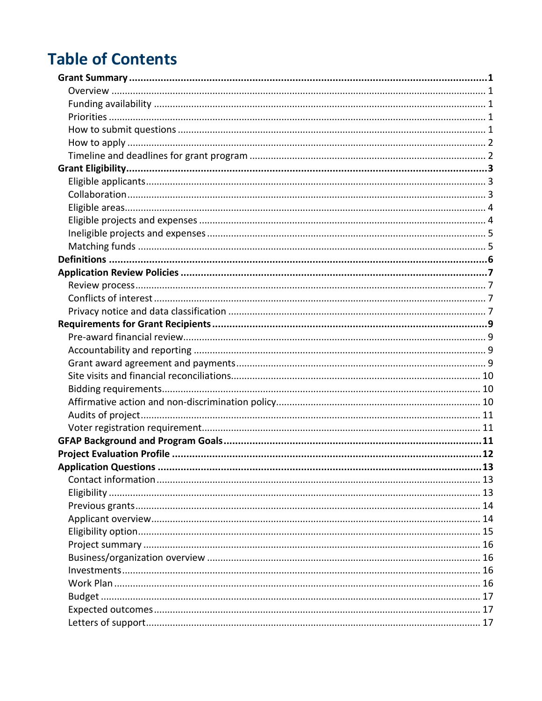## **Table of Contents**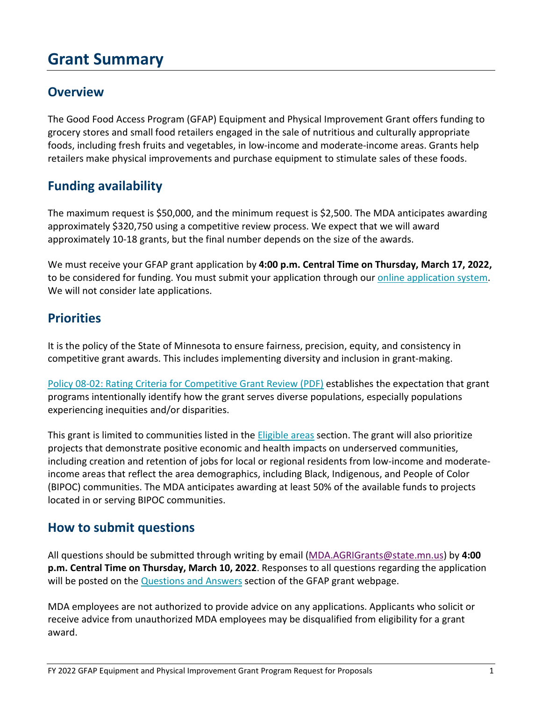## <span id="page-2-0"></span>**Grant Summary**

#### <span id="page-2-1"></span>**Overview**

The Good Food Access Program (GFAP) Equipment and Physical Improvement Grant offers funding to grocery stores and small food retailers engaged in the sale of nutritious and culturally appropriate foods, including fresh fruits and vegetables, in low-income and moderate-income areas. Grants help retailers make physical improvements and purchase equipment to stimulate sales of these foods.

#### <span id="page-2-2"></span>**Funding availability**

The maximum request is \$50,000, and the minimum request is \$2,500. The MDA anticipates awarding approximately \$320,750 using a competitive review process. We expect that we will award approximately 10-18 grants, but the final number depends on the size of the awards.

We must receive your GFAP grant application by **4:00 p.m. Central Time on Thursday, March 17, 2022,** to be considered for funding. You must submit your application through ou[r online application system.](https://www.grantinterface.com/Home/Logon?urlkey=statemn) We will not consider late applications.

#### <span id="page-2-3"></span>**Priorities**

It is the policy of the State of Minnesota to ensure fairness, precision, equity, and consistency in competitive grant awards. This includes implementing diversity and inclusion in grant-making.

[Policy 08-02: Rating Criteria for Competitive Grant Review \(PDF\)](https://mn.gov/admin/assets/08-02%20Grants%20Policy%20Revision%20September%202017%20final_tcm36-312046.pdf) establishes the expectation that grant programs intentionally identify how the grant serves diverse populations, especially populations experiencing inequities and/or disparities.

This grant is limited to communities listed in the [Eligible areas](#page-5-0) section. The grant will also prioritize projects that demonstrate positive economic and health impacts on underserved communities, including creation and retention of jobs for local or regional residents from low-income and moderateincome areas that reflect the area demographics, including Black, Indigenous, and People of Color (BIPOC) communities. The MDA anticipates awarding at least 50% of the available funds to projects located in or serving BIPOC communities.

#### <span id="page-2-4"></span>**How to submit questions**

All questions should be submitted through writing by email [\(MDA.AGRIGrants@state.mn.us\)](mailto:MDA.AGRIGrants@state.mn.us) by **4:00 p.m. Central Time on Thursday, March 10, 2022**. Responses to all questions regarding the application will be posted on the [Questions and Answers](https://www.mda.state.mn.us/business-dev-loans-grants/good-food-access-program-equipment-physical-improvement-grant-qa) section of the GFAP grant webpage.

MDA employees are not authorized to provide advice on any applications. Applicants who solicit or receive advice from unauthorized MDA employees may be disqualified from eligibility for a grant award.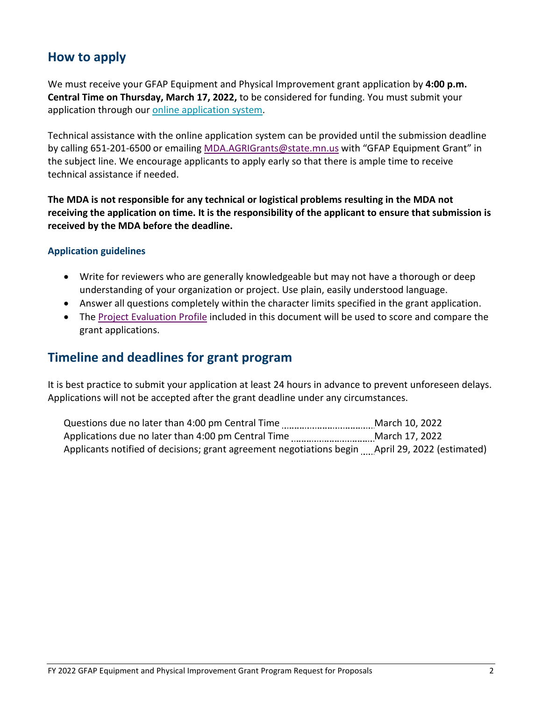#### <span id="page-3-0"></span>**How to apply**

We must receive your GFAP Equipment and Physical Improvement grant application by **4:00 p.m. Central Time on Thursday, March 17, 2022,** to be considered for funding. You must submit your application through our [online application system.](https://www.grantinterface.com/Home/Logon?urlkey=statemn)

Technical assistance with the online application system can be provided until the submission deadline by calling 651-201-6500 or emailing [MDA.AGRIGrants@state.mn.us](mailto:MDA.AGRIGrants@state.mn.us) with "GFAP Equipment Grant" in the subject line. We encourage applicants to apply early so that there is ample time to receive technical assistance if needed.

**The MDA is not responsible for any technical or logistical problems resulting in the MDA not receiving the application on time. It is the responsibility of the applicant to ensure that submission is received by the MDA before the deadline.**

#### **Application guidelines**

- Write for reviewers who are generally knowledgeable but may not have a thorough or deep understanding of your organization or project. Use plain, easily understood language.
- Answer all questions completely within the character limits specified in the grant application.
- The [Project Evaluation Profile](#page-13-0) included in this document will be used to score and compare the grant applications.

#### <span id="page-3-1"></span>**Timeline and deadlines for grant program**

It is best practice to submit your application at least 24 hours in advance to prevent unforeseen delays. Applications will not be accepted after the grant deadline under any circumstances.

Questions due no later than 4:00 pm Central Time March 10, 2022 Applications due no later than 4:00 pm Central Time March 17, 2022 Applicants notified of decisions; grant agreement negotiations begin April 29, 2022 (estimated)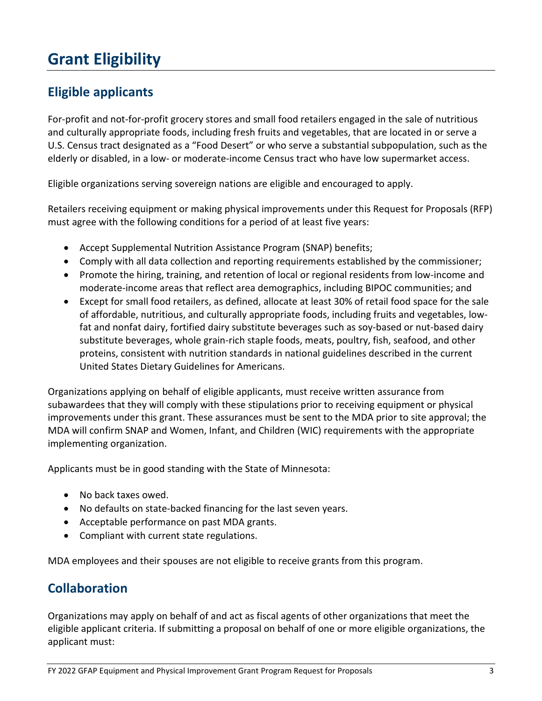## <span id="page-4-0"></span>**Grant Eligibility**

### <span id="page-4-1"></span>**Eligible applicants**

For-profit and not-for-profit grocery stores and small food retailers engaged in the sale of nutritious and culturally appropriate foods, including fresh fruits and vegetables, that are located in or serve a U.S. Census tract designated as a "Food Desert" or who serve a substantial subpopulation, such as the elderly or disabled, in a low- or moderate-income Census tract who have low supermarket access.

Eligible organizations serving sovereign nations are eligible and encouraged to apply.

Retailers receiving equipment or making physical improvements under this Request for Proposals (RFP) must agree with the following conditions for a period of at least five years:

- Accept Supplemental Nutrition Assistance Program (SNAP) benefits;
- Comply with all data collection and reporting requirements established by the commissioner;
- Promote the hiring, training, and retention of local or regional residents from low-income and moderate-income areas that reflect area demographics, including BIPOC communities; and
- Except for small food retailers, as defined, allocate at least 30% of retail food space for the sale of affordable, nutritious, and culturally appropriate foods, including fruits and vegetables, lowfat and nonfat dairy, fortified dairy substitute beverages such as soy-based or nut-based dairy substitute beverages, whole grain-rich staple foods, meats, poultry, fish, seafood, and other proteins, consistent with nutrition standards in national guidelines described in the current United States Dietary Guidelines for Americans.

Organizations applying on behalf of eligible applicants, must receive written assurance from subawardees that they will comply with these stipulations prior to receiving equipment or physical improvements under this grant. These assurances must be sent to the MDA prior to site approval; the MDA will confirm SNAP and Women, Infant, and Children (WIC) requirements with the appropriate implementing organization.

Applicants must be in good standing with the State of Minnesota:

- No back taxes owed.
- No defaults on state-backed financing for the last seven years.
- Acceptable performance on past MDA grants.
- Compliant with current state regulations.

MDA employees and their spouses are not eligible to receive grants from this program.

#### <span id="page-4-2"></span>**Collaboration**

Organizations may apply on behalf of and act as fiscal agents of other organizations that meet the eligible applicant criteria. If submitting a proposal on behalf of one or more eligible organizations, the applicant must: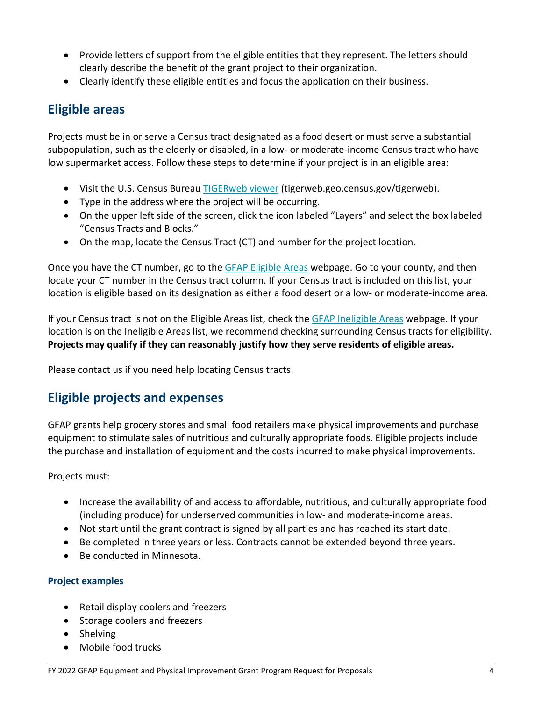- Provide letters of support from the eligible entities that they represent. The letters should clearly describe the benefit of the grant project to their organization.
- Clearly identify these eligible entities and focus the application on their business.

#### <span id="page-5-0"></span>**Eligible areas**

Projects must be in or serve a Census tract designated as a food desert or must serve a substantial subpopulation, such as the elderly or disabled, in a low- or moderate-income Census tract who have low supermarket access. Follow these steps to determine if your project is in an eligible area:

- Visit the U.S. Census Bureau **TIGERweb viewer** (tigerweb.geo.census.gov/tigerweb).
- Type in the address where the project will be occurring.
- On the upper left side of the screen, click the icon labeled "Layers" and select the box labeled "Census Tracts and Blocks."
- On the map, locate the Census Tract (CT) and number for the project location.

Once you have the CT number, go to the [GFAP Eligible Areas](https://www.mda.state.mn.us/grants/grants/gfapequipmentgrant) webpage. Go to your county, and then locate your CT number in the Census tract column. If your Census tract is included on this list, your location is eligible based on its designation as either a food desert or a low- or moderate-income area.

If your Census tract is not on the Eligible Areas list, check the [GFAP Ineligible Areas](https://www.mda.state.mn.us/good-food-access-program-grants-ineligible-areas) webpage. If your location is on the Ineligible Areas list, we recommend checking surrounding Census tracts for eligibility. **Projects may qualify if they can reasonably justify how they serve residents of eligible areas.**

Please contact us if you need help locating Census tracts.

### <span id="page-5-1"></span>**Eligible projects and expenses**

GFAP grants help grocery stores and small food retailers make physical improvements and purchase equipment to stimulate sales of nutritious and culturally appropriate foods. Eligible projects include the purchase and installation of equipment and the costs incurred to make physical improvements.

Projects must:

- Increase the availability of and access to affordable, nutritious, and culturally appropriate food (including produce) for underserved communities in low- and moderate-income areas.
- Not start until the grant contract is signed by all parties and has reached its start date.
- Be completed in three years or less. Contracts cannot be extended beyond three years.
- Be conducted in Minnesota.

#### **Project examples**

- Retail display coolers and freezers
- Storage coolers and freezers
- Shelving
- Mobile food trucks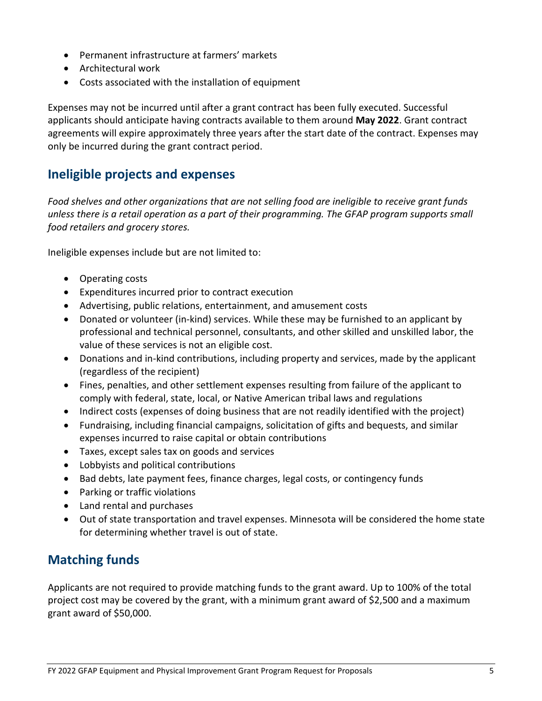- Permanent infrastructure at farmers' markets
- Architectural work
- Costs associated with the installation of equipment

Expenses may not be incurred until after a grant contract has been fully executed. Successful applicants should anticipate having contracts available to them around **May 2022**. Grant contract agreements will expire approximately three years after the start date of the contract. Expenses may only be incurred during the grant contract period.

#### <span id="page-6-0"></span>**Ineligible projects and expenses**

*Food shelves and other organizations that are not selling food are ineligible to receive grant funds unless there is a retail operation as a part of their programming. The GFAP program supports small food retailers and grocery stores.*

Ineligible expenses include but are not limited to:

- Operating costs
- Expenditures incurred prior to contract execution
- Advertising, public relations, entertainment, and amusement costs
- Donated or volunteer (in-kind) services. While these may be furnished to an applicant by professional and technical personnel, consultants, and other skilled and unskilled labor, the value of these services is not an eligible cost.
- Donations and in-kind contributions, including property and services, made by the applicant (regardless of the recipient)
- Fines, penalties, and other settlement expenses resulting from failure of the applicant to comply with federal, state, local, or Native American tribal laws and regulations
- Indirect costs (expenses of doing business that are not readily identified with the project)
- Fundraising, including financial campaigns, solicitation of gifts and bequests, and similar expenses incurred to raise capital or obtain contributions
- Taxes, except sales tax on goods and services
- Lobbyists and political contributions
- Bad debts, late payment fees, finance charges, legal costs, or contingency funds
- Parking or traffic violations
- Land rental and purchases
- Out of state transportation and travel expenses. Minnesota will be considered the home state for determining whether travel is out of state.

#### <span id="page-6-1"></span>**Matching funds**

Applicants are not required to provide matching funds to the grant award. Up to 100% of the total project cost may be covered by the grant, with a minimum grant award of \$2,500 and a maximum grant award of \$50,000.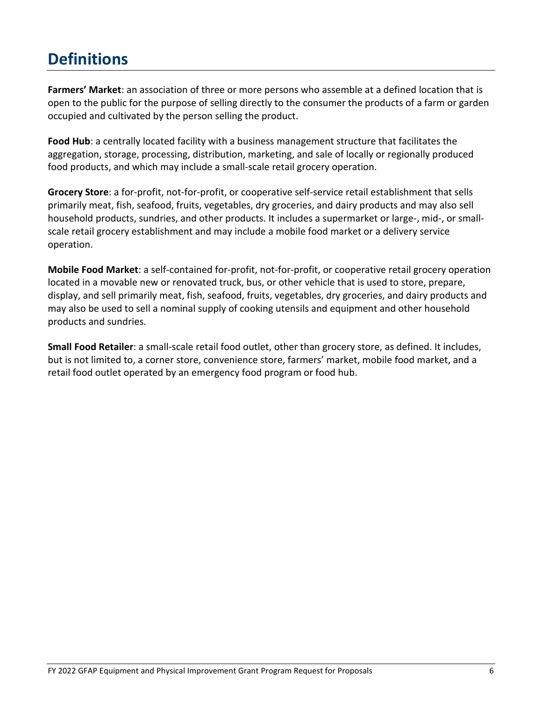## <span id="page-7-0"></span>**Definitions**

**Farmers' Market**: an association of three or more persons who assemble at a defined location that is open to the public for the purpose of selling directly to the consumer the products of a farm or garden occupied and cultivated by the person selling the product.

**Food Hub**: a centrally located facility with a business management structure that facilitates the aggregation, storage, processing, distribution, marketing, and sale of locally or regionally produced food products, and which may include a small-scale retail grocery operation.

**Grocery Store**: a for-profit, not-for-profit, or cooperative self-service retail establishment that sells primarily meat, fish, seafood, fruits, vegetables, dry groceries, and dairy products and may also sell household products, sundries, and other products. It includes a supermarket or large-, mid-, or smallscale retail grocery establishment and may include a mobile food market or a delivery service operation.

**Mobile Food Market**: a self-contained for-profit, not-for-profit, or cooperative retail grocery operation located in a movable new or renovated truck, bus, or other vehicle that is used to store, prepare, display, and sell primarily meat, fish, seafood, fruits, vegetables, dry groceries, and dairy products and may also be used to sell a nominal supply of cooking utensils and equipment and other household products and sundries.

**Small Food Retailer**: a small-scale retail food outlet, other than grocery store, as defined. It includes, but is not limited to, a corner store, convenience store, farmers' market, mobile food market, and a retail food outlet operated by an emergency food program or food hub.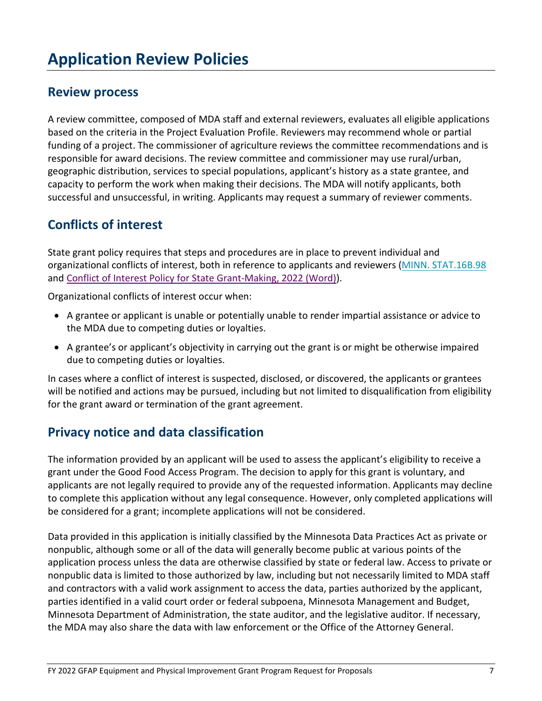## <span id="page-8-0"></span>**Application Review Policies**

#### <span id="page-8-1"></span>**Review process**

A review committee, composed of MDA staff and external reviewers, evaluates all eligible applications based on the criteria in the Project Evaluation Profile. Reviewers may recommend whole or partial funding of a project. The commissioner of agriculture reviews the committee recommendations and is responsible for award decisions. The review committee and commissioner may use rural/urban, geographic distribution, services to special populations, applicant's history as a state grantee, and capacity to perform the work when making their decisions. The MDA will notify applicants, both successful and unsuccessful, in writing. Applicants may request a summary of reviewer comments.

#### <span id="page-8-2"></span>**Conflicts of interest**

State grant policy requires that steps and procedures are in place to prevent individual and organizational conflicts of interest, both in reference to applicants and reviewers [\(MINN. STAT.16B.98](https://www.revisor.mn.gov/statutes/?id=16B.98) and [Conflict of Interest Policy for State Grant-Making, 2022 \(Word\)\)](https://view.officeapps.live.com/op/view.aspx?src=https%3A%2F%2Fmn.gov%2Fadmin%2Fassets%2FOGM%2520Policy%252008-01%2520Conflict%2520of%2520Interest%2520in%2520State%2520Grant-Making%252001.01.2022_tcm36-515734.docx).

Organizational conflicts of interest occur when:

- A grantee or applicant is unable or potentially unable to render impartial assistance or advice to the MDA due to competing duties or loyalties.
- A grantee's or applicant's objectivity in carrying out the grant is or might be otherwise impaired due to competing duties or loyalties.

In cases where a conflict of interest is suspected, disclosed, or discovered, the applicants or grantees will be notified and actions may be pursued, including but not limited to disqualification from eligibility for the grant award or termination of the grant agreement.

#### <span id="page-8-3"></span>**Privacy notice and data classification**

The information provided by an applicant will be used to assess the applicant's eligibility to receive a grant under the Good Food Access Program. The decision to apply for this grant is voluntary, and applicants are not legally required to provide any of the requested information. Applicants may decline to complete this application without any legal consequence. However, only completed applications will be considered for a grant; incomplete applications will not be considered.

Data provided in this application is initially classified by the Minnesota Data Practices Act as private or nonpublic, although some or all of the data will generally become public at various points of the application process unless the data are otherwise classified by state or federal law. Access to private or nonpublic data is limited to those authorized by law, including but not necessarily limited to MDA staff and contractors with a valid work assignment to access the data, parties authorized by the applicant, parties identified in a valid court order or federal subpoena, Minnesota Management and Budget, Minnesota Department of Administration, the state auditor, and the legislative auditor. If necessary, the MDA may also share the data with law enforcement or the Office of the Attorney General.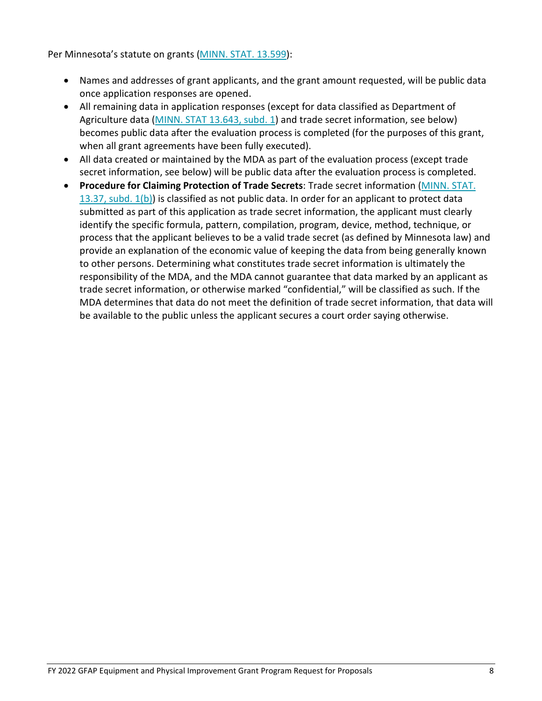Per Minnesota's statute on grants [\(MINN. STAT. 13.599\)](https://www.revisor.mn.gov/statutes/?id=13.599):

- Names and addresses of grant applicants, and the grant amount requested, will be public data once application responses are opened.
- All remaining data in application responses (except for data classified as Department of Agriculture data [\(MINN. STAT 13.643, subd. 1\)](https://www.revisor.mn.gov/statutes/2015/cite/13.643/subd/13.643.1#stat.13.643.1) and trade secret information, see below) becomes public data after the evaluation process is completed (for the purposes of this grant, when all grant agreements have been fully executed).
- All data created or maintained by the MDA as part of the evaluation process (except trade secret information, see below) will be public data after the evaluation process is completed.
- **Procedure for Claiming Protection of Trade Secrets**: Trade secret information [\(MINN. STAT.](https://www.revisor.mn.gov/statutes/cite/13.37)  [13.37, subd. 1\(b\)\)](https://www.revisor.mn.gov/statutes/cite/13.37) is classified as not public data. In order for an applicant to protect data submitted as part of this application as trade secret information, the applicant must clearly identify the specific formula, pattern, compilation, program, device, method, technique, or process that the applicant believes to be a valid trade secret (as defined by Minnesota law) and provide an explanation of the economic value of keeping the data from being generally known to other persons. Determining what constitutes trade secret information is ultimately the responsibility of the MDA, and the MDA cannot guarantee that data marked by an applicant as trade secret information, or otherwise marked "confidential," will be classified as such. If the MDA determines that data do not meet the definition of trade secret information, that data will be available to the public unless the applicant secures a court order saying otherwise.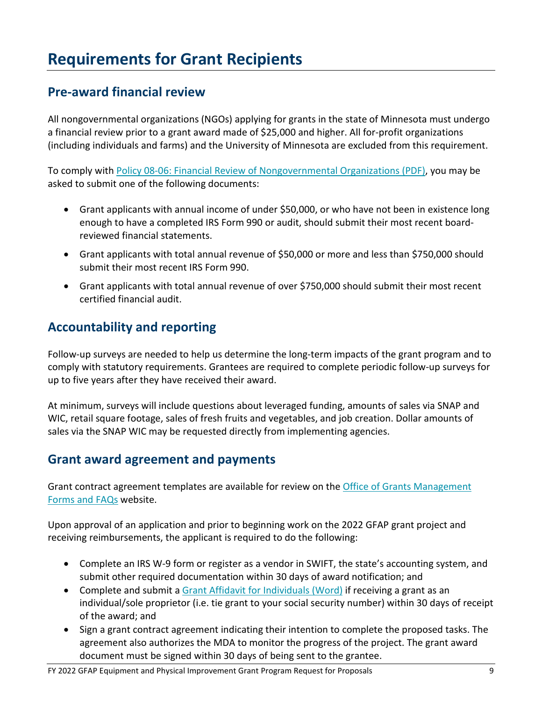## <span id="page-10-0"></span>**Requirements for Grant Recipients**

#### <span id="page-10-1"></span>**Pre-award financial review**

All nongovernmental organizations (NGOs) applying for grants in the state of Minnesota must undergo a financial review prior to a grant award made of \$25,000 and higher. All for-profit organizations (including individuals and farms) and the University of Minnesota are excluded from this requirement.

To comply with [Policy 08-06: Financial Review of Nongovernmental Organizations](https://mn.gov/admin/assets/grants_policy_08-06_tcm36-207113_tcm36-207113.pdf) (PDF), you may be asked to submit one of the following documents:

- Grant applicants with annual income of under \$50,000, or who have not been in existence long enough to have a completed IRS Form 990 or audit, should submit their most recent boardreviewed financial statements.
- Grant applicants with total annual revenue of \$50,000 or more and less than \$750,000 should submit their most recent IRS Form 990.
- Grant applicants with total annual revenue of over \$750,000 should submit their most recent certified financial audit.

### <span id="page-10-2"></span>**Accountability and reporting**

Follow-up surveys are needed to help us determine the long-term impacts of the grant program and to comply with statutory requirements. Grantees are required to complete periodic follow-up surveys for up to five years after they have received their award.

At minimum, surveys will include questions about leveraged funding, amounts of sales via SNAP and WIC, retail square footage, sales of fresh fruits and vegetables, and job creation. Dollar amounts of sales via the SNAP WIC may be requested directly from implementing agencies.

#### <span id="page-10-3"></span>**Grant award agreement and payments**

Grant contract agreement templates are available for review on the [Office of Grants Management](https://mn.gov/admin/government/grants/policies-statutes-forms/#5)  [Forms and FAQs](https://mn.gov/admin/government/grants/policies-statutes-forms/#5) website.

Upon approval of an application and prior to beginning work on the 2022 GFAP grant project and receiving reimbursements, the applicant is required to do the following:

- Complete an IRS W-9 form or register as a vendor in SWIFT, the state's accounting system, and submit other required documentation within 30 days of award notification; and
- Complete and submit a [Grant Affidavit for Individuals \(Word\)](https://mn.gov/admin/assets/Affidavit%20for%20Individuals%20entering%20into%20a%20State%20Grant%20Agreement%20FY18_tcm36-311514.docx) if receiving a grant as an individual/sole proprietor (i.e. tie grant to your social security number) within 30 days of receipt of the award; and
- Sign a grant contract agreement indicating their intention to complete the proposed tasks. The agreement also authorizes the MDA to monitor the progress of the project. The grant award document must be signed within 30 days of being sent to the grantee.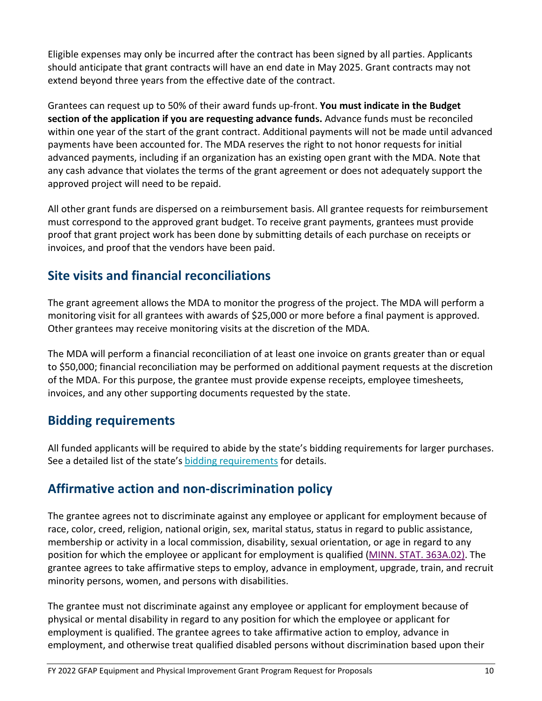Eligible expenses may only be incurred after the contract has been signed by all parties. Applicants should anticipate that grant contracts will have an end date in May 2025. Grant contracts may not extend beyond three years from the effective date of the contract.

Grantees can request up to 50% of their award funds up-front. **You must indicate in the Budget section of the application if you are requesting advance funds.** Advance funds must be reconciled within one year of the start of the grant contract. Additional payments will not be made until advanced payments have been accounted for. The MDA reserves the right to not honor requests for initial advanced payments, including if an organization has an existing open grant with the MDA. Note that any cash advance that violates the terms of the grant agreement or does not adequately support the approved project will need to be repaid.

All other grant funds are dispersed on a reimbursement basis. All grantee requests for reimbursement must correspond to the approved grant budget. To receive grant payments, grantees must provide proof that grant project work has been done by submitting details of each purchase on receipts or invoices, and proof that the vendors have been paid.

### <span id="page-11-0"></span>**Site visits and financial reconciliations**

The grant agreement allows the MDA to monitor the progress of the project. The MDA will perform a monitoring visit for all grantees with awards of \$25,000 or more before a final payment is approved. Other grantees may receive monitoring visits at the discretion of the MDA.

The MDA will perform a financial reconciliation of at least one invoice on grants greater than or equal to \$50,000; financial reconciliation may be performed on additional payment requests at the discretion of the MDA. For this purpose, the grantee must provide expense receipts, employee timesheets, invoices, and any other supporting documents requested by the state.

#### <span id="page-11-1"></span>**Bidding requirements**

All funded applicants will be required to abide by the state's bidding requirements for larger purchases. See a detailed list of the state'[s bidding requirements](https://www.mda.state.mn.us/business-dev-loans-grants/bidding-requirements) for details.

### <span id="page-11-2"></span>**Affirmative action and non-discrimination policy**

The grantee agrees not to discriminate against any employee or applicant for employment because of race, color, creed, religion, national origin, sex, marital status, status in regard to public assistance, membership or activity in a local commission, disability, sexual orientation, or age in regard to any position for which the employee or applicant for employment is qualified [\(MINN. STAT. 363A.02\)](https://www.revisor.mn.gov/statutes/?id=363A.02). The grantee agrees to take affirmative steps to employ, advance in employment, upgrade, train, and recruit minority persons, women, and persons with disabilities.

The grantee must not discriminate against any employee or applicant for employment because of physical or mental disability in regard to any position for which the employee or applicant for employment is qualified. The grantee agrees to take affirmative action to employ, advance in employment, and otherwise treat qualified disabled persons without discrimination based upon their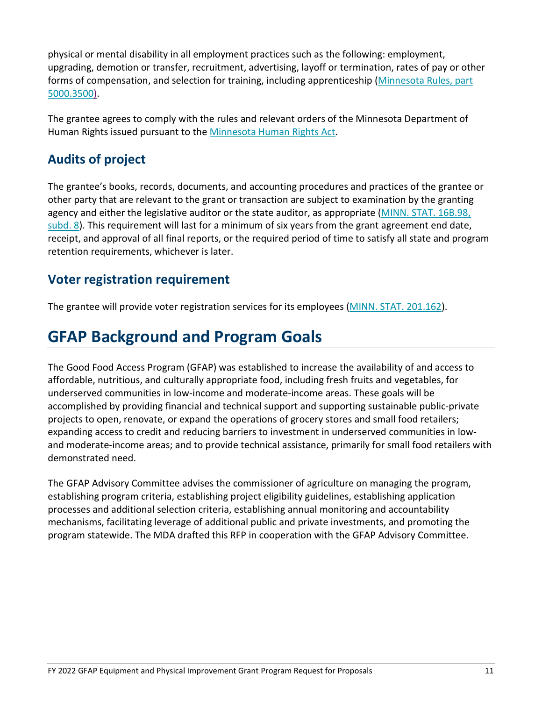physical or mental disability in all employment practices such as the following: employment, upgrading, demotion or transfer, recruitment, advertising, layoff or termination, rates of pay or other forms of compensation, and selection for training, including apprenticeship [\(Minnesota Rules, part](https://www.revisor.mn.gov/rules/?id=5000.3500)  [5000.3500\)](https://www.revisor.mn.gov/rules/?id=5000.3500).

The grantee agrees to comply with the rules and relevant orders of the Minnesota Department of Human Rights issued pursuant to the [Minnesota Human Rights Act.](https://mn.gov/mdhr/yourrights/mhra/)

### <span id="page-12-0"></span>**Audits of project**

The grantee's books, records, documents, and accounting procedures and practices of the grantee or other party that are relevant to the grant or transaction are subject to examination by the granting agency and either the legislative auditor or the state auditor, as appropriate [\(MINN. STAT. 16B.98,](https://www.revisor.mn.gov/statutes/cite/16B.98#stat.16B.98.8)  [subd. 8\)](https://www.revisor.mn.gov/statutes/cite/16B.98#stat.16B.98.8). This requirement will last for a minimum of six years from the grant agreement end date, receipt, and approval of all final reports, or the required period of time to satisfy all state and program retention requirements, whichever is later.

#### <span id="page-12-1"></span>**Voter registration requirement**

The grantee will provide voter registration services for its employees [\(MINN. STAT.](https://www.revisor.mn.gov/statutes/cite/201.162) 201.162).

## <span id="page-12-2"></span>**GFAP Background and Program Goals**

The Good Food Access Program (GFAP) was established to increase the availability of and access to affordable, nutritious, and culturally appropriate food, including fresh fruits and vegetables, for underserved communities in low-income and moderate-income areas. These goals will be accomplished by providing financial and technical support and supporting sustainable public-private projects to open, renovate, or expand the operations of grocery stores and small food retailers; expanding access to credit and reducing barriers to investment in underserved communities in lowand moderate-income areas; and to provide technical assistance, primarily for small food retailers with demonstrated need.

The GFAP Advisory Committee advises the commissioner of agriculture on managing the program, establishing program criteria, establishing project eligibility guidelines, establishing application processes and additional selection criteria, establishing annual monitoring and accountability mechanisms, facilitating leverage of additional public and private investments, and promoting the program statewide. The MDA drafted this RFP in cooperation with the GFAP Advisory Committee.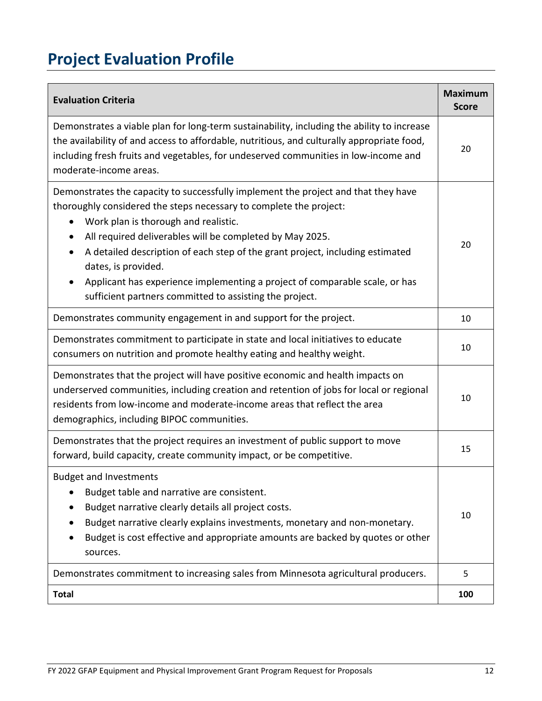# <span id="page-13-0"></span>**Project Evaluation Profile**

| <b>Evaluation Criteria</b>                                                                                                                                                                                                                                                                                                                                                                                                                                                                                     | <b>Maximum</b><br><b>Score</b> |
|----------------------------------------------------------------------------------------------------------------------------------------------------------------------------------------------------------------------------------------------------------------------------------------------------------------------------------------------------------------------------------------------------------------------------------------------------------------------------------------------------------------|--------------------------------|
| Demonstrates a viable plan for long-term sustainability, including the ability to increase<br>the availability of and access to affordable, nutritious, and culturally appropriate food,<br>including fresh fruits and vegetables, for undeserved communities in low-income and<br>moderate-income areas.                                                                                                                                                                                                      | 20                             |
| Demonstrates the capacity to successfully implement the project and that they have<br>thoroughly considered the steps necessary to complete the project:<br>Work plan is thorough and realistic.<br>All required deliverables will be completed by May 2025.<br>A detailed description of each step of the grant project, including estimated<br>dates, is provided.<br>Applicant has experience implementing a project of comparable scale, or has<br>sufficient partners committed to assisting the project. | 20                             |
| Demonstrates community engagement in and support for the project.                                                                                                                                                                                                                                                                                                                                                                                                                                              | 10                             |
| Demonstrates commitment to participate in state and local initiatives to educate<br>consumers on nutrition and promote healthy eating and healthy weight.                                                                                                                                                                                                                                                                                                                                                      | 10                             |
| Demonstrates that the project will have positive economic and health impacts on<br>underserved communities, including creation and retention of jobs for local or regional<br>residents from low-income and moderate-income areas that reflect the area<br>demographics, including BIPOC communities.                                                                                                                                                                                                          | 10                             |
| Demonstrates that the project requires an investment of public support to move<br>forward, build capacity, create community impact, or be competitive.                                                                                                                                                                                                                                                                                                                                                         | 15                             |
| <b>Budget and Investments</b><br>Budget table and narrative are consistent.<br>Budget narrative clearly details all project costs.<br>Budget narrative clearly explains investments, monetary and non-monetary.<br>Budget is cost effective and appropriate amounts are backed by quotes or other<br>sources.                                                                                                                                                                                                  | 10                             |
| Demonstrates commitment to increasing sales from Minnesota agricultural producers.                                                                                                                                                                                                                                                                                                                                                                                                                             | 5                              |
| <b>Total</b>                                                                                                                                                                                                                                                                                                                                                                                                                                                                                                   | 100                            |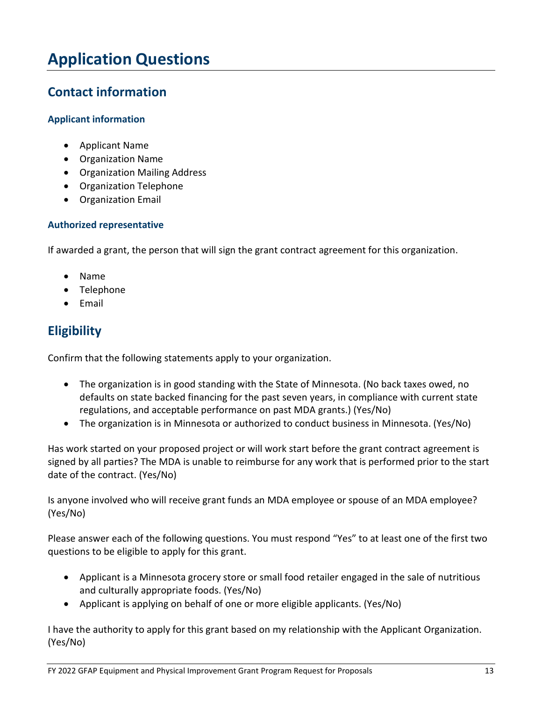## <span id="page-14-0"></span>**Application Questions**

#### <span id="page-14-1"></span>**Contact information**

#### **Applicant information**

- Applicant Name
- Organization Name
- Organization Mailing Address
- Organization Telephone
- Organization Email

#### **Authorized representative**

If awarded a grant, the person that will sign the grant contract agreement for this organization.

- Name
- Telephone
- Email

### <span id="page-14-2"></span>**Eligibility**

Confirm that the following statements apply to your organization.

- The organization is in good standing with the State of Minnesota. (No back taxes owed, no defaults on state backed financing for the past seven years, in compliance with current state regulations, and acceptable performance on past MDA grants.) (Yes/No)
- The organization is in Minnesota or authorized to conduct business in Minnesota. (Yes/No)

Has work started on your proposed project or will work start before the grant contract agreement is signed by all parties? The MDA is unable to reimburse for any work that is performed prior to the start date of the contract. (Yes/No)

Is anyone involved who will receive grant funds an MDA employee or spouse of an MDA employee? (Yes/No)

Please answer each of the following questions. You must respond "Yes" to at least one of the first two questions to be eligible to apply for this grant.

- Applicant is a Minnesota grocery store or small food retailer engaged in the sale of nutritious and culturally appropriate foods. (Yes/No)
- Applicant is applying on behalf of one or more eligible applicants. (Yes/No)

I have the authority to apply for this grant based on my relationship with the Applicant Organization. (Yes/No)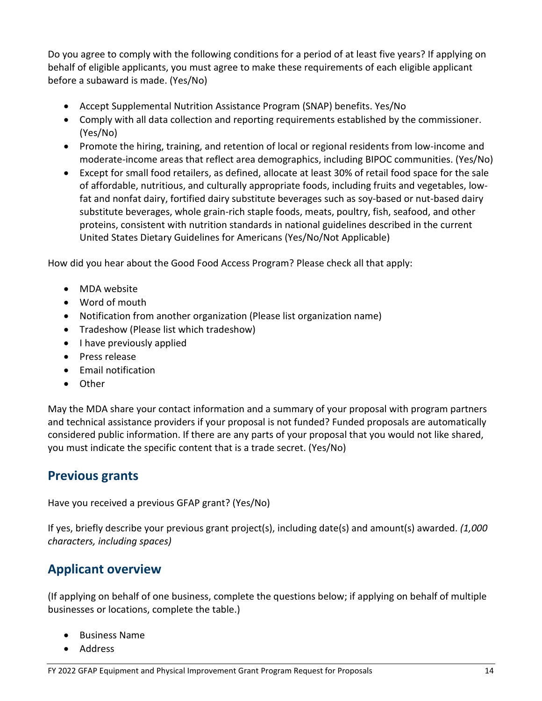Do you agree to comply with the following conditions for a period of at least five years? If applying on behalf of eligible applicants, you must agree to make these requirements of each eligible applicant before a subaward is made. (Yes/No)

- Accept Supplemental Nutrition Assistance Program (SNAP) benefits. Yes/No
- Comply with all data collection and reporting requirements established by the commissioner. (Yes/No)
- Promote the hiring, training, and retention of local or regional residents from low-income and moderate-income areas that reflect area demographics, including BIPOC communities. (Yes/No)
- Except for small food retailers, as defined, allocate at least 30% of retail food space for the sale of affordable, nutritious, and culturally appropriate foods, including fruits and vegetables, lowfat and nonfat dairy, fortified dairy substitute beverages such as soy-based or nut-based dairy substitute beverages, whole grain-rich staple foods, meats, poultry, fish, seafood, and other proteins, consistent with nutrition standards in national guidelines described in the current United States Dietary Guidelines for Americans (Yes/No/Not Applicable)

How did you hear about the Good Food Access Program? Please check all that apply:

- MDA website
- Word of mouth
- Notification from another organization (Please list organization name)
- Tradeshow (Please list which tradeshow)
- I have previously applied
- Press release
- Email notification
- Other

May the MDA share your contact information and a summary of your proposal with program partners and technical assistance providers if your proposal is not funded? Funded proposals are automatically considered public information. If there are any parts of your proposal that you would not like shared, you must indicate the specific content that is a trade secret. (Yes/No)

#### <span id="page-15-0"></span>**Previous grants**

Have you received a previous GFAP grant? (Yes/No)

If yes, briefly describe your previous grant project(s), including date(s) and amount(s) awarded. *(1,000 characters, including spaces)*

#### <span id="page-15-1"></span>**Applicant overview**

(If applying on behalf of one business, complete the questions below; if applying on behalf of multiple businesses or locations, complete the table.)

- Business Name
- Address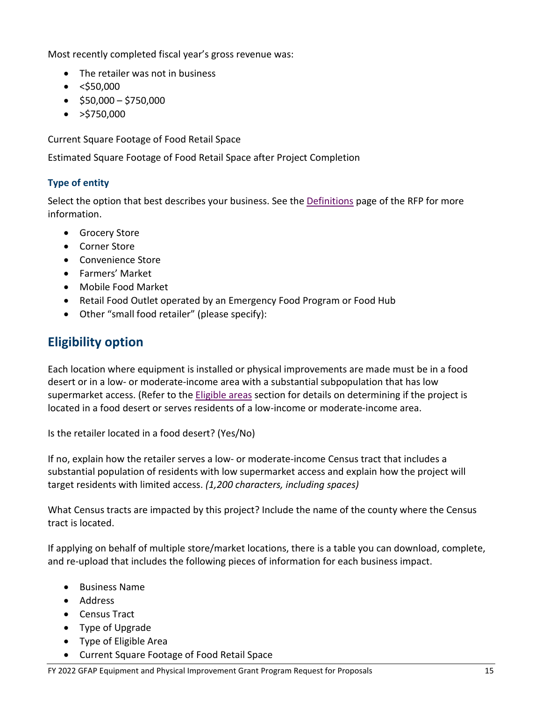Most recently completed fiscal year's gross revenue was:

- The retailer was not in business
- $\bullet$  <\$50,000
- $\bullet$  \$50,000 \$750,000
- $\bullet$  >\$750,000

Current Square Footage of Food Retail Space

Estimated Square Footage of Food Retail Space after Project Completion

#### **Type of entity**

Select the option that best describes your business. See the [Definitions](#page-7-0) page of the RFP for more information.

- Grocery Store
- Corner Store
- Convenience Store
- Farmers' Market
- Mobile Food Market
- Retail Food Outlet operated by an Emergency Food Program or Food Hub
- Other "small food retailer" (please specify):

### <span id="page-16-0"></span>**Eligibility option**

Each location where equipment is installed or physical improvements are made must be in a food desert or in a low- or moderate-income area with a substantial subpopulation that has low supermarket access. (Refer to the [Eligible areas](#page-5-0) section for details on determining if the project is located in a food desert or serves residents of a low-income or moderate-income area.

Is the retailer located in a food desert? (Yes/No)

If no, explain how the retailer serves a low- or moderate-income Census tract that includes a substantial population of residents with low supermarket access and explain how the project will target residents with limited access. *(1,200 characters, including spaces)*

What Census tracts are impacted by this project? Include the name of the county where the Census tract is located.

If applying on behalf of multiple store/market locations, there is a table you can download, complete, and re-upload that includes the following pieces of information for each business impact.

- Business Name
- Address
- Census Tract
- Type of Upgrade
- Type of Eligible Area
- Current Square Footage of Food Retail Space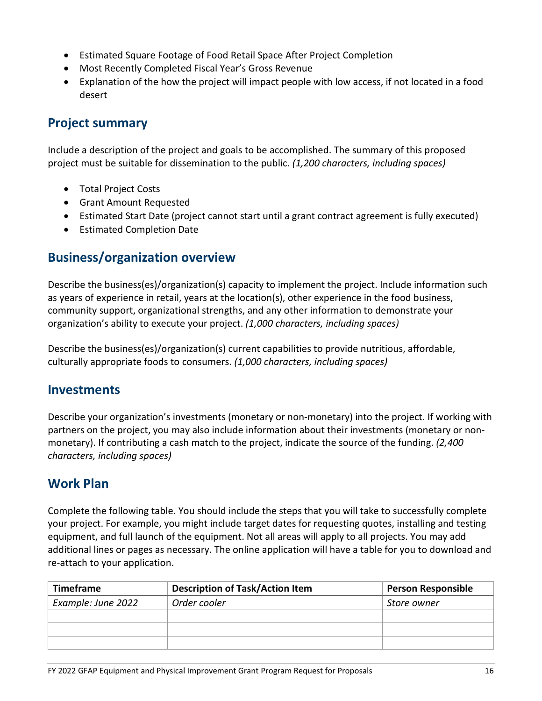- Estimated Square Footage of Food Retail Space After Project Completion
- Most Recently Completed Fiscal Year's Gross Revenue
- Explanation of the how the project will impact people with low access, if not located in a food desert

#### <span id="page-17-0"></span>**Project summary**

Include a description of the project and goals to be accomplished. The summary of this proposed project must be suitable for dissemination to the public. *(1,200 characters, including spaces)*

- Total Project Costs
- Grant Amount Requested
- Estimated Start Date (project cannot start until a grant contract agreement is fully executed)
- Estimated Completion Date

#### <span id="page-17-1"></span>**Business/organization overview**

Describe the business(es)/organization(s) capacity to implement the project. Include information such as years of experience in retail, years at the location(s), other experience in the food business, community support, organizational strengths, and any other information to demonstrate your organization's ability to execute your project. *(1,000 characters, including spaces)*

Describe the business(es)/organization(s) current capabilities to provide nutritious, affordable, culturally appropriate foods to consumers. *(1,000 characters, including spaces)*

#### <span id="page-17-2"></span>**Investments**

Describe your organization's investments (monetary or non-monetary) into the project. If working with partners on the project, you may also include information about their investments (monetary or nonmonetary). If contributing a cash match to the project, indicate the source of the funding. *(2,400 characters, including spaces)*

#### <span id="page-17-3"></span>**Work Plan**

Complete the following table. You should include the steps that you will take to successfully complete your project. For example, you might include target dates for requesting quotes, installing and testing equipment, and full launch of the equipment. Not all areas will apply to all projects. You may add additional lines or pages as necessary. The online application will have a table for you to download and re-attach to your application.

| <b>Timeframe</b>   | <b>Description of Task/Action Item</b> | <b>Person Responsible</b> |
|--------------------|----------------------------------------|---------------------------|
| Example: June 2022 | Order cooler                           | Store owner               |
|                    |                                        |                           |
|                    |                                        |                           |
|                    |                                        |                           |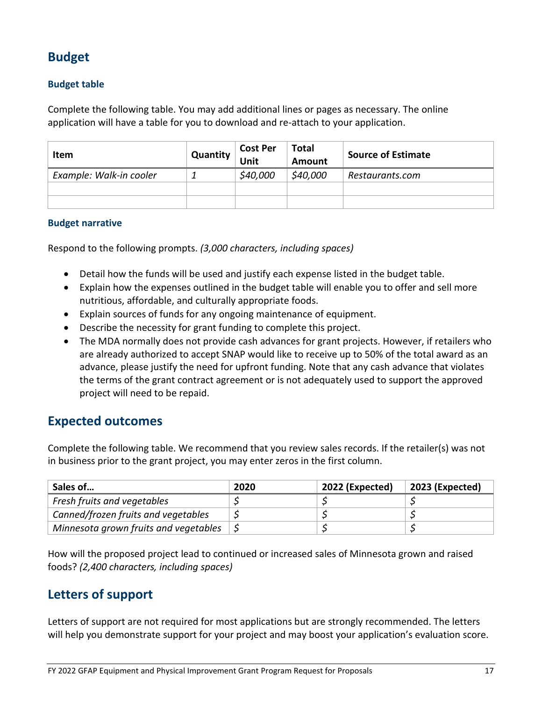### <span id="page-18-0"></span>**Budget**

#### **Budget table**

Complete the following table. You may add additional lines or pages as necessary. The online application will have a table for you to download and re-attach to your application.

| <b>Item</b>             | Quantity | <b>Cost Per</b><br>Jnit | <b>Total</b><br>Amount | <b>Source of Estimate</b> |  |
|-------------------------|----------|-------------------------|------------------------|---------------------------|--|
| Example: Walk-in cooler |          | \$40,000                | \$40,000               | Restaurants.com           |  |
|                         |          |                         |                        |                           |  |
|                         |          |                         |                        |                           |  |

#### **Budget narrative**

Respond to the following prompts. *(3,000 characters, including spaces)*

- Detail how the funds will be used and justify each expense listed in the budget table.
- Explain how the expenses outlined in the budget table will enable you to offer and sell more nutritious, affordable, and culturally appropriate foods.
- Explain sources of funds for any ongoing maintenance of equipment.
- Describe the necessity for grant funding to complete this project.
- The MDA normally does not provide cash advances for grant projects. However, if retailers who are already authorized to accept SNAP would like to receive up to 50% of the total award as an advance, please justify the need for upfront funding. Note that any cash advance that violates the terms of the grant contract agreement or is not adequately used to support the approved project will need to be repaid.

#### <span id="page-18-1"></span>**Expected outcomes**

Complete the following table. We recommend that you review sales records. If the retailer(s) was not in business prior to the grant project, you may enter zeros in the first column.

| Sales of                              | 2020 | $\vert$ 2022 (Expected) | 2023 (Expected) |
|---------------------------------------|------|-------------------------|-----------------|
| Fresh fruits and vegetables           |      |                         |                 |
| Canned/frozen fruits and vegetables   |      |                         |                 |
| Minnesota grown fruits and vegetables |      |                         |                 |

How will the proposed project lead to continued or increased sales of Minnesota grown and raised foods? *(2,400 characters, including spaces)*

#### <span id="page-18-2"></span>**Letters of support**

Letters of support are not required for most applications but are strongly recommended. The letters will help you demonstrate support for your project and may boost your application's evaluation score.